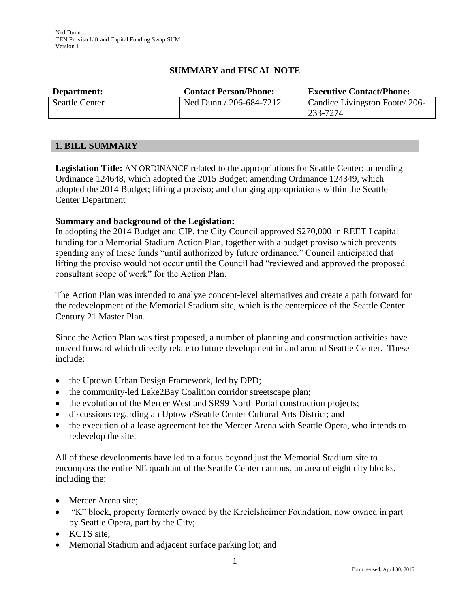# **SUMMARY and FISCAL NOTE**

| Department:           | <b>Contact Person/Phone:</b> | <b>Executive Contact/Phone:</b> |
|-----------------------|------------------------------|---------------------------------|
| <b>Seattle Center</b> | $\sqrt{206-684-7212}$        | Candice Livingston Foote/206-   |
|                       |                              | 233-7274                        |

## **1. BILL SUMMARY**

**Legislation Title:** AN ORDINANCE related to the appropriations for Seattle Center; amending Ordinance 124648, which adopted the 2015 Budget; amending Ordinance 124349, which adopted the 2014 Budget; lifting a proviso; and changing appropriations within the Seattle Center Department

## **Summary and background of the Legislation:**

In adopting the 2014 Budget and CIP, the City Council approved \$270,000 in REET I capital funding for a Memorial Stadium Action Plan, together with a budget proviso which prevents spending any of these funds "until authorized by future ordinance." Council anticipated that lifting the proviso would not occur until the Council had "reviewed and approved the proposed consultant scope of work" for the Action Plan.

The Action Plan was intended to analyze concept-level alternatives and create a path forward for the redevelopment of the Memorial Stadium site, which is the centerpiece of the Seattle Center Century 21 Master Plan.

Since the Action Plan was first proposed, a number of planning and construction activities have moved forward which directly relate to future development in and around Seattle Center. These include:

- the Uptown Urban Design Framework, led by DPD;
- the community-led Lake2Bay Coalition corridor streetscape plan;
- the evolution of the Mercer West and SR99 North Portal construction projects;
- discussions regarding an Uptown/Seattle Center Cultural Arts District; and
- the execution of a lease agreement for the Mercer Arena with Seattle Opera, who intends to redevelop the site.

All of these developments have led to a focus beyond just the Memorial Stadium site to encompass the entire NE quadrant of the Seattle Center campus, an area of eight city blocks, including the:

- Mercer Arena site;
- "K" block, property formerly owned by the Kreielsheimer Foundation, now owned in part by Seattle Opera, part by the City;
- KCTS site:
- Memorial Stadium and adjacent surface parking lot; and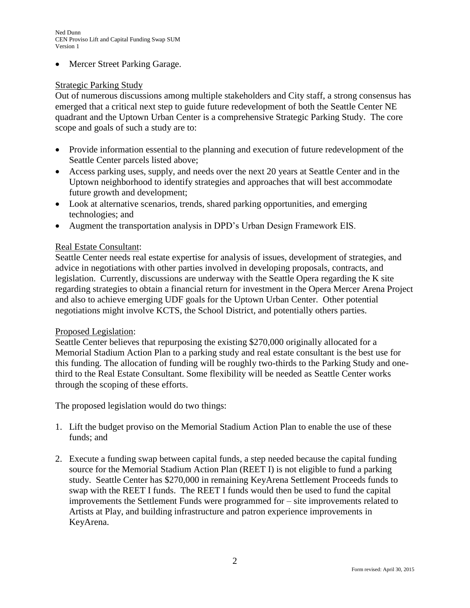Mercer Street Parking Garage.

## Strategic Parking Study

Out of numerous discussions among multiple stakeholders and City staff, a strong consensus has emerged that a critical next step to guide future redevelopment of both the Seattle Center NE quadrant and the Uptown Urban Center is a comprehensive Strategic Parking Study. The core scope and goals of such a study are to:

- Provide information essential to the planning and execution of future redevelopment of the Seattle Center parcels listed above;
- Access parking uses, supply, and needs over the next 20 years at Seattle Center and in the Uptown neighborhood to identify strategies and approaches that will best accommodate future growth and development;
- Look at alternative scenarios, trends, shared parking opportunities, and emerging technologies; and
- Augment the transportation analysis in DPD's Urban Design Framework EIS.

## Real Estate Consultant:

Seattle Center needs real estate expertise for analysis of issues, development of strategies, and advice in negotiations with other parties involved in developing proposals, contracts, and legislation. Currently, discussions are underway with the Seattle Opera regarding the K site regarding strategies to obtain a financial return for investment in the Opera Mercer Arena Project and also to achieve emerging UDF goals for the Uptown Urban Center. Other potential negotiations might involve KCTS, the School District, and potentially others parties.

#### Proposed Legislation:

Seattle Center believes that repurposing the existing \$270,000 originally allocated for a Memorial Stadium Action Plan to a parking study and real estate consultant is the best use for this funding. The allocation of funding will be roughly two-thirds to the Parking Study and onethird to the Real Estate Consultant. Some flexibility will be needed as Seattle Center works through the scoping of these efforts.

The proposed legislation would do two things:

- 1. Lift the budget proviso on the Memorial Stadium Action Plan to enable the use of these funds; and
- 2. Execute a funding swap between capital funds, a step needed because the capital funding source for the Memorial Stadium Action Plan (REET I) is not eligible to fund a parking study. Seattle Center has \$270,000 in remaining KeyArena Settlement Proceeds funds to swap with the REET I funds. The REET I funds would then be used to fund the capital improvements the Settlement Funds were programmed for – site improvements related to Artists at Play, and building infrastructure and patron experience improvements in KeyArena.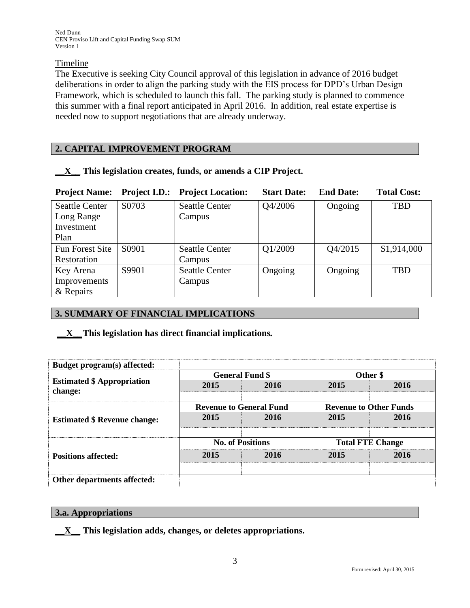## Timeline

The Executive is seeking City Council approval of this legislation in advance of 2016 budget deliberations in order to align the parking study with the EIS process for DPD's Urban Design Framework, which is scheduled to launch this fall. The parking study is planned to commence this summer with a final report anticipated in April 2016. In addition, real estate expertise is needed now to support negotiations that are already underway.

## **2. CAPITAL IMPROVEMENT PROGRAM**

| <b>Project Name:</b>   | <b>Project I.D.:</b> | <b>Project Location:</b> | <b>Start Date:</b> | <b>End Date:</b> | <b>Total Cost:</b> |
|------------------------|----------------------|--------------------------|--------------------|------------------|--------------------|
| <b>Seattle Center</b>  | S0703                | <b>Seattle Center</b>    | Q4/2006            | Ongoing          | <b>TBD</b>         |
| Long Range             |                      | Campus                   |                    |                  |                    |
| Investment             |                      |                          |                    |                  |                    |
| Plan                   |                      |                          |                    |                  |                    |
| <b>Fun Forest Site</b> | S0901                | <b>Seattle Center</b>    | Q1/2009            | Q4/2015          | \$1,914,000        |
| Restoration            |                      | Campus                   |                    |                  |                    |
| Key Arena              | S9901                | <b>Seattle Center</b>    | Ongoing            | Ongoing          | <b>TBD</b>         |
| Improvements           |                      | Campus                   |                    |                  |                    |
| & Repairs              |                      |                          |                    |                  |                    |

## **\_\_X\_\_ This legislation creates, funds, or amends a CIP Project.**

# **3. SUMMARY OF FINANCIAL IMPLICATIONS**

# **\_\_X\_\_This legislation has direct financial implications***.*

| Budget program(s) affected:                  |                                |      |                               |      |
|----------------------------------------------|--------------------------------|------|-------------------------------|------|
| <b>Estimated \$ Appropriation</b><br>change: | <b>General Fund \$</b>         |      | Other \$                      |      |
|                                              | 2015                           | 2016 | 2015                          | 2016 |
| <b>Estimated \$ Revenue change:</b>          | <b>Revenue to General Fund</b> |      | <b>Revenue to Other Funds</b> |      |
|                                              | 2015                           | 2016 | 2015                          | 2016 |
|                                              | <b>No. of Positions</b>        |      | <b>Total FTE Change</b>       |      |
| <b>Positions affected:</b>                   | 2015                           | 2016 | 2015                          | 2016 |
| Other departments affected:                  |                                |      |                               |      |

## **3.a. Appropriations**

**\_\_X\_\_ This legislation adds, changes, or deletes appropriations.**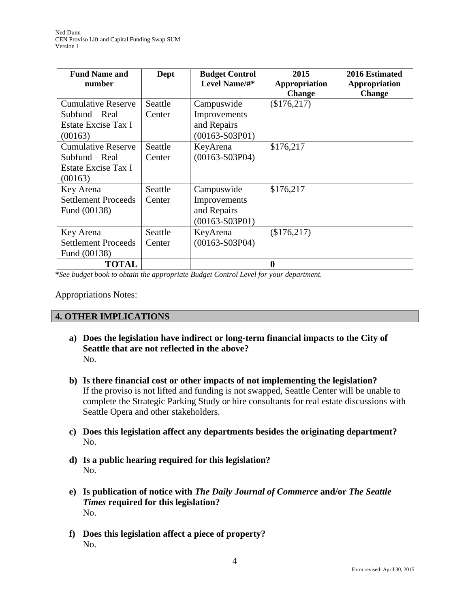| <b>Fund Name and</b><br>number                                                | Dept              | <b>Budget Control</b><br>Level Name/#*                        | 2015<br>Appropriation<br><b>Change</b> | 2016 Estimated<br>Appropriation<br><b>Change</b> |
|-------------------------------------------------------------------------------|-------------------|---------------------------------------------------------------|----------------------------------------|--------------------------------------------------|
| <b>Cumulative Reserve</b><br>Subfund – Real<br>Estate Excise Tax I<br>(00163) | Seattle<br>Center | Campuswide<br>Improvements<br>and Repairs<br>$(00163-S03P01)$ | (\$176,217)                            |                                                  |
| <b>Cumulative Reserve</b><br>Subfund – Real<br>Estate Excise Tax I<br>(00163) | Seattle<br>Center | KeyArena<br>$(00163-S03P04)$                                  | \$176,217                              |                                                  |
| Key Arena<br><b>Settlement Proceeds</b><br>Fund (00138)                       | Seattle<br>Center | Campuswide<br>Improvements<br>and Repairs<br>$(00163-S03P01)$ | \$176,217                              |                                                  |
| Key Arena<br><b>Settlement Proceeds</b><br>Fund (00138)                       | Seattle<br>Center | KeyArena<br>$(00163-S03P04)$                                  | (\$176,217)                            |                                                  |
| <b>TOTAL</b>                                                                  |                   |                                                               | $\boldsymbol{0}$                       |                                                  |

**\****See budget book to obtain the appropriate Budget Control Level for your department.*

#### Appropriations Notes:

## **4. OTHER IMPLICATIONS**

- **a) Does the legislation have indirect or long-term financial impacts to the City of Seattle that are not reflected in the above?** No.
- **b) Is there financial cost or other impacts of not implementing the legislation?** If the proviso is not lifted and funding is not swapped, Seattle Center will be unable to complete the Strategic Parking Study or hire consultants for real estate discussions with Seattle Opera and other stakeholders.
- **c) Does this legislation affect any departments besides the originating department?**  No.
- **d) Is a public hearing required for this legislation?**  No.
- **e) Is publication of notice with** *The Daily Journal of Commerce* **and/or** *The Seattle Times* **required for this legislation?** No.
- **f) Does this legislation affect a piece of property?** No.